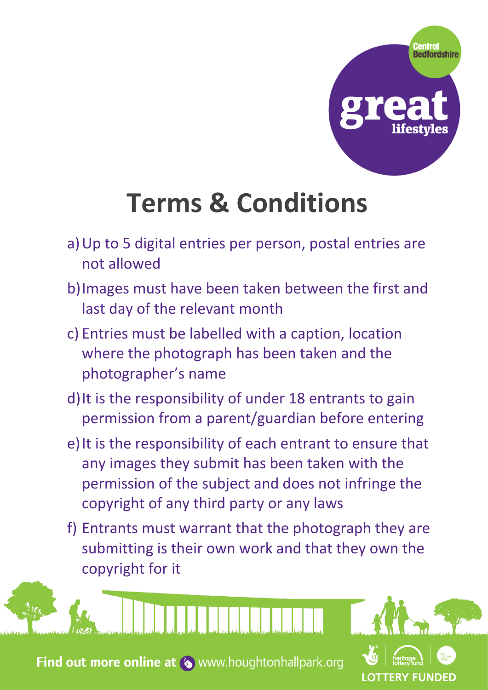

**LOTTERY FUNDED** 

## **Terms & Conditions**

- a)Up to 5 digital entries per person, postal entries are not allowed
- b)Images must have been taken between the first and last day of the relevant month
- c) Entries must be labelled with a caption, location where the photograph has been taken and the photographer's name
- d)It is the responsibility of under 18 entrants to gain permission from a parent/guardian before entering
- e) It is the responsibility of each entrant to ensure that any images they submit has been taken with the permission of the subject and does not infringe the copyright of any third party or any laws
- f) Entrants must warrant that the photograph they are submitting is their own work and that they own the copyright for it

Find out more online at (b) www.houghtonhallpark.org